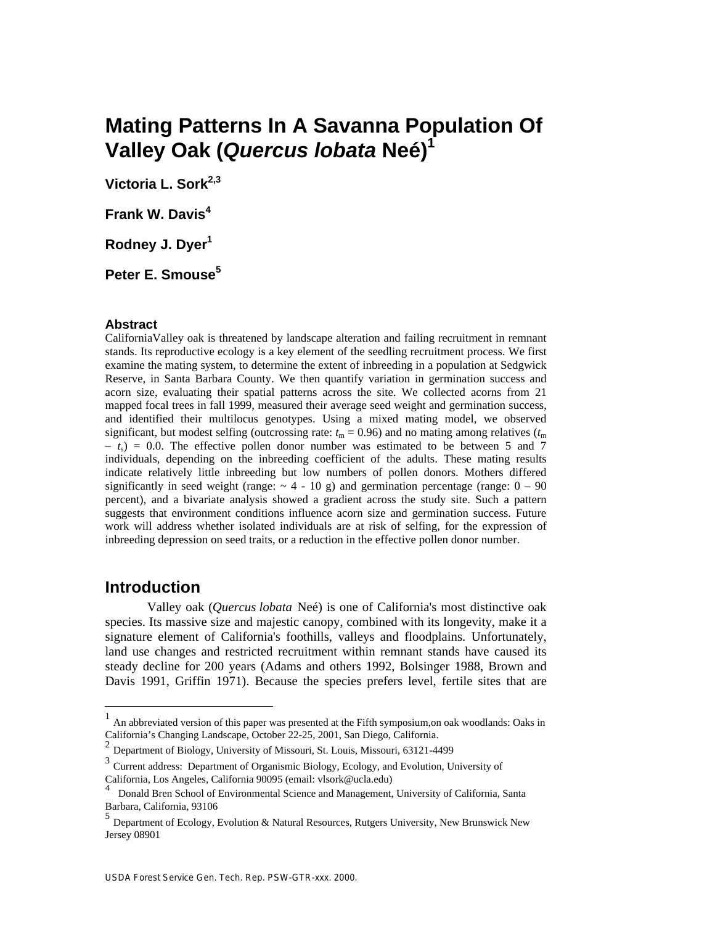# **Mating Patterns In A Savanna Population Of Valley Oak (***Quercus lobata* **Neé)<sup>1</sup>**

**Victoria L. Sork2,3**

**Frank W. Davis<sup>4</sup>**

**Rodney J. Dyer<sup>1</sup>**

**Peter E. Smouse<sup>5</sup>**

#### **Abstract**

CaliforniaValley oak is threatened by landscape alteration and failing recruitment in remnant stands. Its reproductive ecology is a key element of the seedling recruitment process. We first examine the mating system, to determine the extent of inbreeding in a population at Sedgwick Reserve, in Santa Barbara County. We then quantify variation in germination success and acorn size, evaluating their spatial patterns across the site. We collected acorns from 21 mapped focal trees in fall 1999, measured their average seed weight and germination success, and identified their multilocus genotypes. Using a mixed mating model, we observed significant, but modest selfing (outcrossing rate:  $t_m = 0.96$ ) and no mating among relatives  $(t_m)$  $- t<sub>s</sub> = 0.0$ . The effective pollen donor number was estimated to be between 5 and 7 individuals, depending on the inbreeding coefficient of the adults. These mating results indicate relatively little inbreeding but low numbers of pollen donors. Mothers differed significantly in seed weight (range:  $\sim$  4 - 10 g) and germination percentage (range:  $0 - 90$ percent), and a bivariate analysis showed a gradient across the study site. Such a pattern suggests that environment conditions influence acorn size and germination success. Future work will address whether isolated individuals are at risk of selfing, for the expression of inbreeding depression on seed traits, or a reduction in the effective pollen donor number.

# **Introduction**

 $\overline{a}$ 

Valley oak (*Quercus lobata* Neé) is one of California's most distinctive oak species. Its massive size and majestic canopy, combined with its longevity, make it a signature element of California's foothills, valleys and floodplains. Unfortunately, land use changes and restricted recruitment within remnant stands have caused its steady decline for 200 years (Adams and others 1992, Bolsinger 1988, Brown and Davis 1991, Griffin 1971). Because the species prefers level, fertile sites that are

<sup>1</sup> An abbreviated version of this paper was presented at the Fifth symposium,on oak woodlands: Oaks in California's Changing Landscape, October 22-25, 2001, San Diego, California. 2

Department of Biology, University of Missouri, St. Louis, Missouri, 63121-4499

<sup>&</sup>lt;sup>3</sup> Current address: Department of Organismic Biology, Ecology, and Evolution, University of California, Los Angeles, California 90095 (email: vlsork@ucla.edu)

<sup>4</sup> Donald Bren School of Environmental Science and Management, University of California, Santa Barbara, California, 93106

<sup>5</sup> Department of Ecology, Evolution & Natural Resources, Rutgers University, New Brunswick New Jersey 08901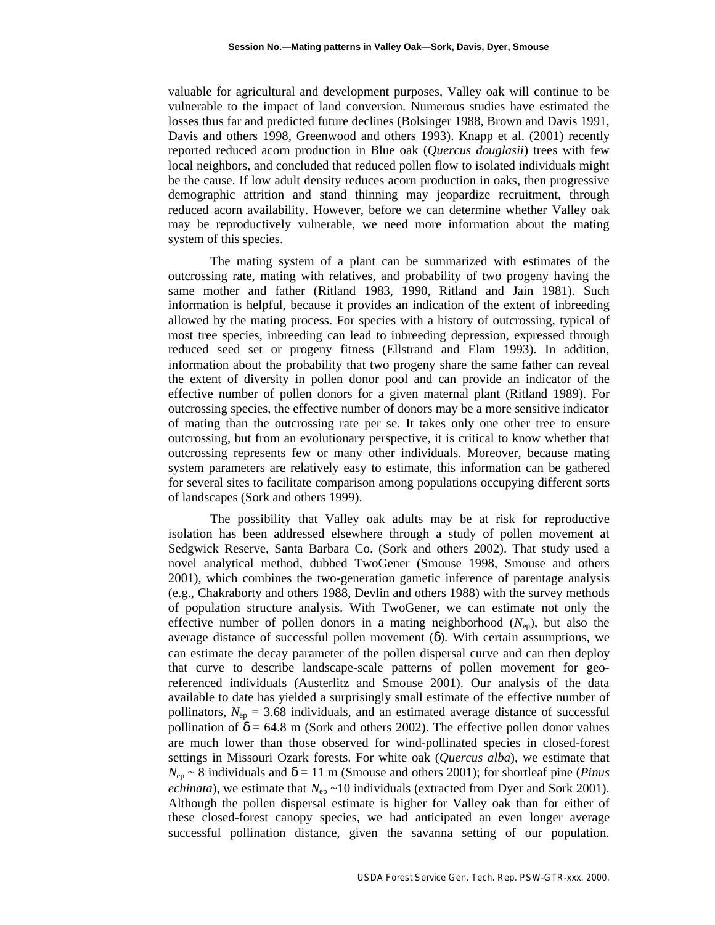valuable for agricultural and development purposes, Valley oak will continue to be vulnerable to the impact of land conversion. Numerous studies have estimated the losses thus far and predicted future declines (Bolsinger 1988, Brown and Davis 1991, Davis and others 1998, Greenwood and others 1993). Knapp et al. (2001) recently reported reduced acorn production in Blue oak (*Quercus douglasii*) trees with few local neighbors, and concluded that reduced pollen flow to isolated individuals might be the cause. If low adult density reduces acorn production in oaks, then progressive demographic attrition and stand thinning may jeopardize recruitment, through reduced acorn availability. However, before we can determine whether Valley oak may be reproductively vulnerable, we need more information about the mating system of this species.

The mating system of a plant can be summarized with estimates of the outcrossing rate, mating with relatives, and probability of two progeny having the same mother and father (Ritland 1983, 1990, Ritland and Jain 1981). Such information is helpful, because it provides an indication of the extent of inbreeding allowed by the mating process. For species with a history of outcrossing, typical of most tree species, inbreeding can lead to inbreeding depression, expressed through reduced seed set or progeny fitness (Ellstrand and Elam 1993). In addition, information about the probability that two progeny share the same father can reveal the extent of diversity in pollen donor pool and can provide an indicator of the effective number of pollen donors for a given maternal plant (Ritland 1989). For outcrossing species, the effective number of donors may be a more sensitive indicator of mating than the outcrossing rate per se. It takes only one other tree to ensure outcrossing, but from an evolutionary perspective, it is critical to know whether that outcrossing represents few or many other individuals. Moreover, because mating system parameters are relatively easy to estimate, this information can be gathered for several sites to facilitate comparison among populations occupying different sorts of landscapes (Sork and others 1999).

The possibility that Valley oak adults may be at risk for reproductive isolation has been addressed elsewhere through a study of pollen movement at Sedgwick Reserve, Santa Barbara Co. (Sork and others 2002). That study used a novel analytical method, dubbed TwoGener (Smouse 1998, Smouse and others 2001), which combines the two-generation gametic inference of parentage analysis (e.g., Chakraborty and others 1988, Devlin and others 1988) with the survey methods of population structure analysis. With TwoGener, we can estimate not only the effective number of pollen donors in a mating neighborhood (*N*ep), but also the average distance of successful pollen movement ( ). With certain assumptions, we can estimate the decay parameter of the pollen dispersal curve and can then deploy that curve to describe landscape-scale patterns of pollen movement for georeferenced individuals (Austerlitz and Smouse 2001). Our analysis of the data available to date has yielded a surprisingly small estimate of the effective number of pollinators,  $N_{ep} = 3.68$  individuals, and an estimated average distance of successful pollination of  $= 64.8$  m (Sork and others 2002). The effective pollen donor values are much lower than those observed for wind-pollinated species in closed-forest settings in Missouri Ozark forests. For white oak (*Quercus alba*), we estimate that  $N_{\text{ep}} \sim 8$  individuals and = 11 m (Smouse and others 2001); for shortleaf pine (*Pinus echinata*), we estimate that  $N_{ep} \sim 10$  individuals (extracted from Dyer and Sork 2001). Although the pollen dispersal estimate is higher for Valley oak than for either of these closed-forest canopy species, we had anticipated an even longer average successful pollination distance, given the savanna setting of our population.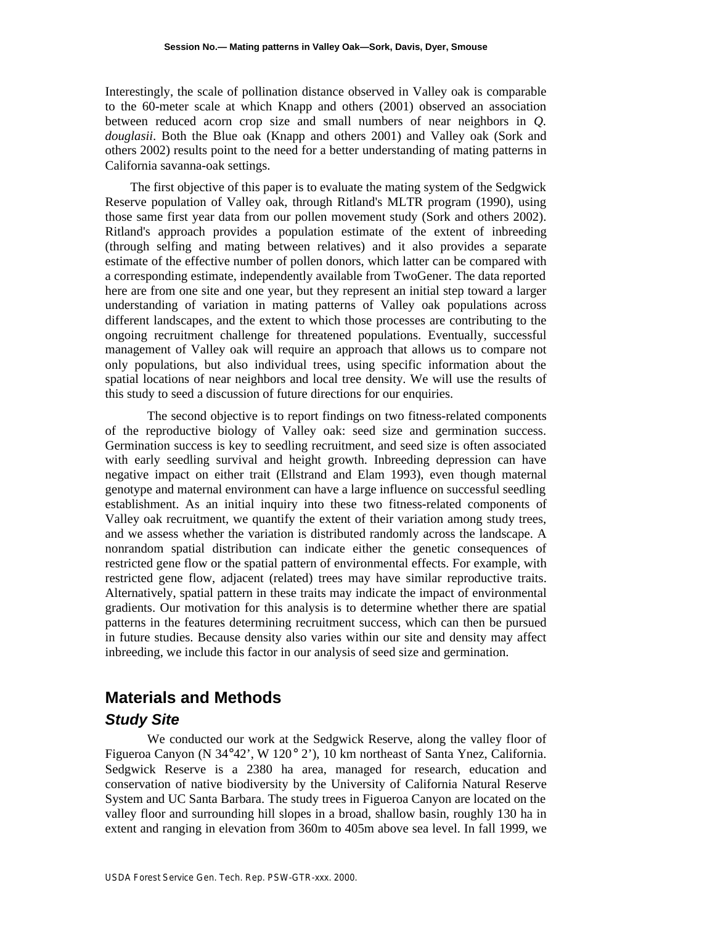Interestingly, the scale of pollination distance observed in Valley oak is comparable to the 60-meter scale at which Knapp and others (2001) observed an association between reduced acorn crop size and small numbers of near neighbors in *Q. douglasii*. Both the Blue oak (Knapp and others 2001) and Valley oak (Sork and others 2002) results point to the need for a better understanding of mating patterns in California savanna-oak settings.

The first objective of this paper is to evaluate the mating system of the Sedgwick Reserve population of Valley oak, through Ritland's MLTR program (1990), using those same first year data from our pollen movement study (Sork and others 2002). Ritland's approach provides a population estimate of the extent of inbreeding (through selfing and mating between relatives) and it also provides a separate estimate of the effective number of pollen donors, which latter can be compared with a corresponding estimate, independently available from TwoGener. The data reported here are from one site and one year, but they represent an initial step toward a larger understanding of variation in mating patterns of Valley oak populations across different landscapes, and the extent to which those processes are contributing to the ongoing recruitment challenge for threatened populations. Eventually, successful management of Valley oak will require an approach that allows us to compare not only populations, but also individual trees, using specific information about the spatial locations of near neighbors and local tree density. We will use the results of this study to seed a discussion of future directions for our enquiries.

The second objective is to report findings on two fitness-related components of the reproductive biology of Valley oak: seed size and germination success. Germination success is key to seedling recruitment, and seed size is often associated with early seedling survival and height growth. Inbreeding depression can have negative impact on either trait (Ellstrand and Elam 1993), even though maternal genotype and maternal environment can have a large influence on successful seedling establishment. As an initial inquiry into these two fitness-related components of Valley oak recruitment, we quantify the extent of their variation among study trees, and we assess whether the variation is distributed randomly across the landscape. A nonrandom spatial distribution can indicate either the genetic consequences of restricted gene flow or the spatial pattern of environmental effects. For example, with restricted gene flow, adjacent (related) trees may have similar reproductive traits. Alternatively, spatial pattern in these traits may indicate the impact of environmental gradients. Our motivation for this analysis is to determine whether there are spatial patterns in the features determining recruitment success, which can then be pursued in future studies. Because density also varies within our site and density may affect inbreeding, we include this factor in our analysis of seed size and germination.

# **Materials and Methods** *Study Site*

We conducted our work at the Sedgwick Reserve, along the valley floor of Figueroa Canyon (N 34°42', W 120° 2'), 10 km northeast of Santa Ynez, California. Sedgwick Reserve is a 2380 ha area, managed for research, education and conservation of native biodiversity by the University of California Natural Reserve System and UC Santa Barbara. The study trees in Figueroa Canyon are located on the valley floor and surrounding hill slopes in a broad, shallow basin, roughly 130 ha in extent and ranging in elevation from 360m to 405m above sea level. In fall 1999, we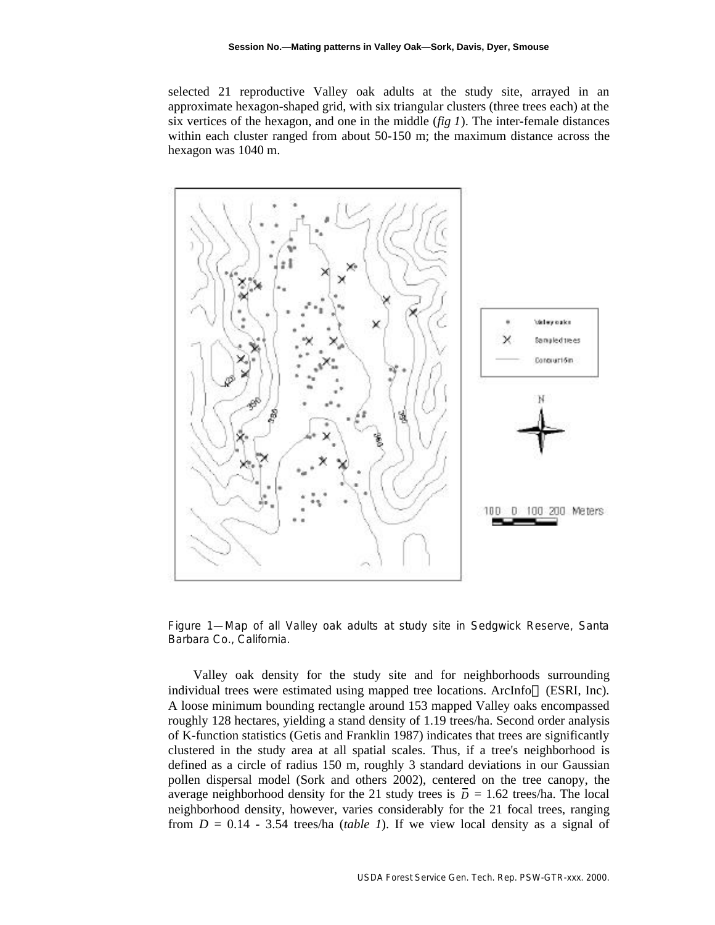selected 21 reproductive Valley oak adults at the study site, arrayed in an approximate hexagon-shaped grid, with six triangular clusters (three trees each) at the six vertices of the hexagon, and one in the middle  $(fig 1)$ . The inter-female distances within each cluster ranged from about 50-150 m; the maximum distance across the hexagon was 1040 m.



Figure 1—Map of all Valley oak adults at study site in Sedgwick Reserve, Santa Barbara Co., California.

Valley oak density for the study site and for neighborhoods surrounding individual trees were estimated using mapped tree locations. ArcInfo (ESRI, Inc). A loose minimum bounding rectangle around 153 mapped Valley oaks encompassed roughly 128 hectares, yielding a stand density of 1.19 trees/ha. Second order analysis of K-function statistics (Getis and Franklin 1987) indicates that trees are significantly clustered in the study area at all spatial scales. Thus, if a tree's neighborhood is defined as a circle of radius 150 m, roughly 3 standard deviations in our Gaussian pollen dispersal model (Sork and others 2002), centered on the tree canopy, the average neighborhood density for the 21 study trees is  $\overline{D} = 1.62$  trees/ha. The local neighborhood density, however, varies considerably for the 21 focal trees, ranging from  $D = 0.14 - 3.54$  trees/ha *(table 1)*. If we view local density as a signal of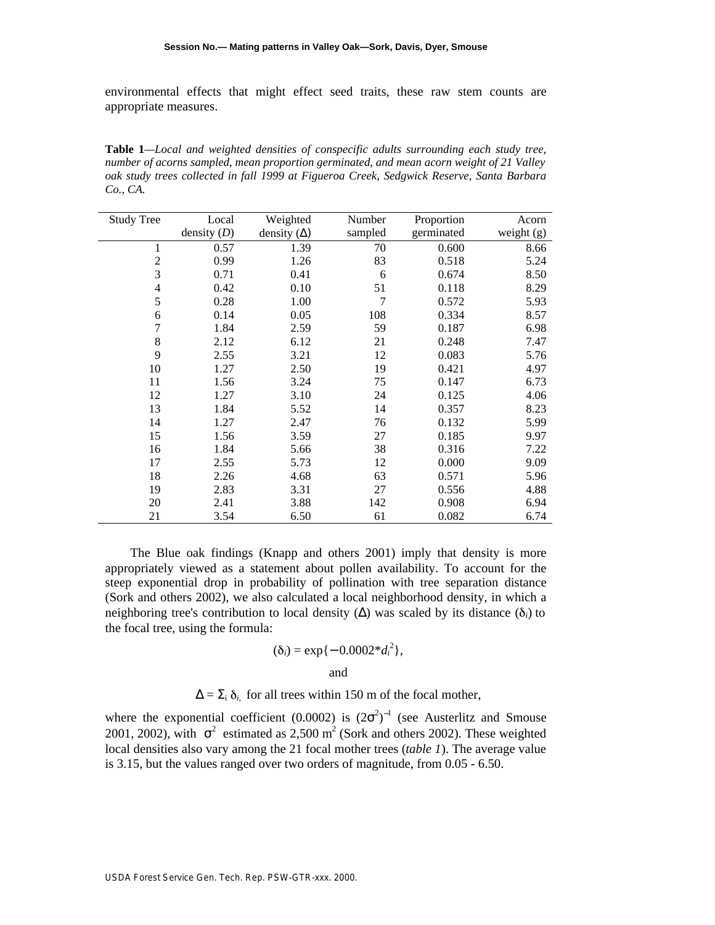environmental effects that might effect seed traits, these raw stem counts are appropriate measures.

**Table 1***—Local and weighted densities of conspecific adults surrounding each study tree, number of acorns sampled, mean proportion germinated, and mean acorn weight of 21 Valley oak study trees collected in fall 1999 at Figueroa Creek, Sedgwick Reserve, Santa Barbara Co., CA.*

| <b>Study Tree</b>       | Local         | Weighted      | Number  | Proportion | Acorn      |
|-------------------------|---------------|---------------|---------|------------|------------|
|                         | density $(D)$ | density $( )$ | sampled | germinated | weight (g) |
| 1                       | 0.57          | 1.39          | 70      | 0.600      | 8.66       |
| $\mathfrak{2}$          | 0.99          | 1.26          | 83      | 0.518      | 5.24       |
| 3                       | 0.71          | 0.41          | 6       | 0.674      | 8.50       |
| $\overline{\mathbf{4}}$ | 0.42          | 0.10          | 51      | 0.118      | 8.29       |
| 5                       | 0.28          | 1.00          | 7       | 0.572      | 5.93       |
| 6                       | 0.14          | 0.05          | 108     | 0.334      | 8.57       |
| $\tau$                  | 1.84          | 2.59          | 59      | 0.187      | 6.98       |
| 8                       | 2.12          | 6.12          | 21      | 0.248      | 7.47       |
| 9                       | 2.55          | 3.21          | 12      | 0.083      | 5.76       |
| 10                      | 1.27          | 2.50          | 19      | 0.421      | 4.97       |
| 11                      | 1.56          | 3.24          | 75      | 0.147      | 6.73       |
| 12                      | 1.27          | 3.10          | 24      | 0.125      | 4.06       |
| 13                      | 1.84          | 5.52          | 14      | 0.357      | 8.23       |
| 14                      | 1.27          | 2.47          | 76      | 0.132      | 5.99       |
| 15                      | 1.56          | 3.59          | 27      | 0.185      | 9.97       |
| 16                      | 1.84          | 5.66          | 38      | 0.316      | 7.22       |
| 17                      | 2.55          | 5.73          | 12      | 0.000      | 9.09       |
| 18                      | 2.26          | 4.68          | 63      | 0.571      | 5.96       |
| 19                      | 2.83          | 3.31          | 27      | 0.556      | 4.88       |
| 20                      | 2.41          | 3.88          | 142     | 0.908      | 6.94       |
| 21                      | 3.54          | 6.50          | 61      | 0.082      | 6.74       |

The Blue oak findings (Knapp and others 2001) imply that density is more appropriately viewed as a statement about pollen availability. To account for the steep exponential drop in probability of pollination with tree separation distance (Sork and others 2002), we also calculated a local neighborhood density, in which a neighboring tree's contribution to local density ( $\cdot$ ) was scaled by its distance ( $\delta_i$ ) to the focal tree, using the formula:

$$
(\delta_i) = \exp\{-0.0002 * d_i^2\},\
$$

and

 $=$  *i*,  $\delta_i$  for all trees within 150 m of the focal mother,

where the exponential coefficient (0.0002) is  $(2<sup>2</sup>)<sup>-1</sup>$  (see Austerlitz and Smouse 2001, 2002), with  $\frac{2}{1}$  estimated as 2,500 m<sup>2</sup> (Sork and others 2002). These weighted local densities also vary among the 21 focal mother trees (*table 1*). The average value is 3.15, but the values ranged over two orders of magnitude, from 0.05 - 6.50.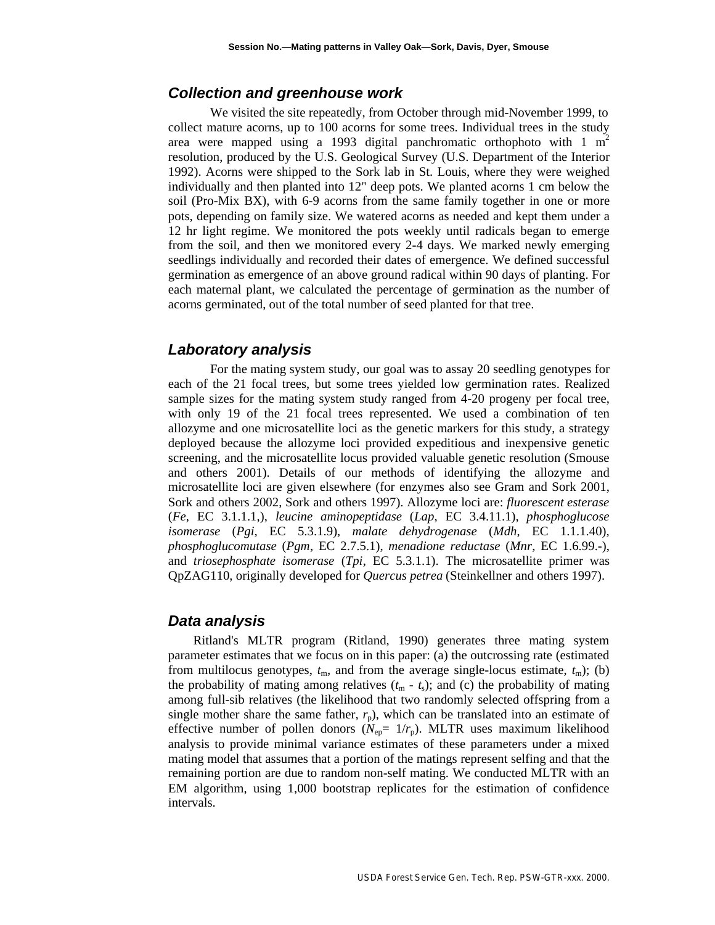#### *Collection and greenhouse work*

We visited the site repeatedly, from October through mid-November 1999, to collect mature acorns, up to 100 acorns for some trees. Individual trees in the study area were mapped using a 1993 digital panchromatic orthophoto with  $1 \text{ m}^2$ resolution, produced by the U.S. Geological Survey (U.S. Department of the Interior 1992). Acorns were shipped to the Sork lab in St. Louis, where they were weighed individually and then planted into 12" deep pots. We planted acorns 1 cm below the soil (Pro-Mix BX), with 6-9 acorns from the same family together in one or more pots, depending on family size. We watered acorns as needed and kept them under a 12 hr light regime. We monitored the pots weekly until radicals began to emerge from the soil, and then we monitored every 2-4 days. We marked newly emerging seedlings individually and recorded their dates of emergence. We defined successful germination as emergence of an above ground radical within 90 days of planting. For each maternal plant, we calculated the percentage of germination as the number of acorns germinated, out of the total number of seed planted for that tree.

#### *Laboratory analysis*

For the mating system study, our goal was to assay 20 seedling genotypes for each of the 21 focal trees, but some trees yielded low germination rates. Realized sample sizes for the mating system study ranged from 4-20 progeny per focal tree, with only 19 of the 21 focal trees represented. We used a combination of ten allozyme and one microsatellite loci as the genetic markers for this study, a strategy deployed because the allozyme loci provided expeditious and inexpensive genetic screening, and the microsatellite locus provided valuable genetic resolution (Smouse and others 2001). Details of our methods of identifying the allozyme and microsatellite loci are given elsewhere (for enzymes also see Gram and Sork 2001, Sork and others 2002, Sork and others 1997). Allozyme loci are: *fluorescent esterase* (*Fe*, EC 3.1.1.1,), *leucine aminopeptidase* (*Lap*, EC 3.4.11.1), *phosphoglucose isomerase* (*Pgi*, EC 5.3.1.9), *malate dehydrogenase* (*Mdh*, EC 1.1.1.40), *phosphoglucomutase* (*Pgm*, EC 2.7.5.1), *menadione reductase* (*Mnr*, EC 1.6.99.-), and *triosephosphate isomerase* (*Tpi*, EC 5.3.1.1). The microsatellite primer was QpZAG110, originally developed for *Quercus petrea* (Steinkellner and others 1997).

#### *Data analysis*

Ritland's MLTR program (Ritland, 1990) generates three mating system parameter estimates that we focus on in this paper: (a) the outcrossing rate (estimated from multilocus genotypes,  $t_m$ , and from the average single-locus estimate,  $t_m$ ); (b) the probability of mating among relatives  $(t_m - t_s)$ ; and (c) the probability of mating among full-sib relatives (the likelihood that two randomly selected offspring from a single mother share the same father,  $r_p$ ), which can be translated into an estimate of effective number of pollen donors  $(N_{ep}= 1/r_p)$ . MLTR uses maximum likelihood analysis to provide minimal variance estimates of these parameters under a mixed mating model that assumes that a portion of the matings represent selfing and that the remaining portion are due to random non-self mating. We conducted MLTR with an EM algorithm, using 1,000 bootstrap replicates for the estimation of confidence intervals.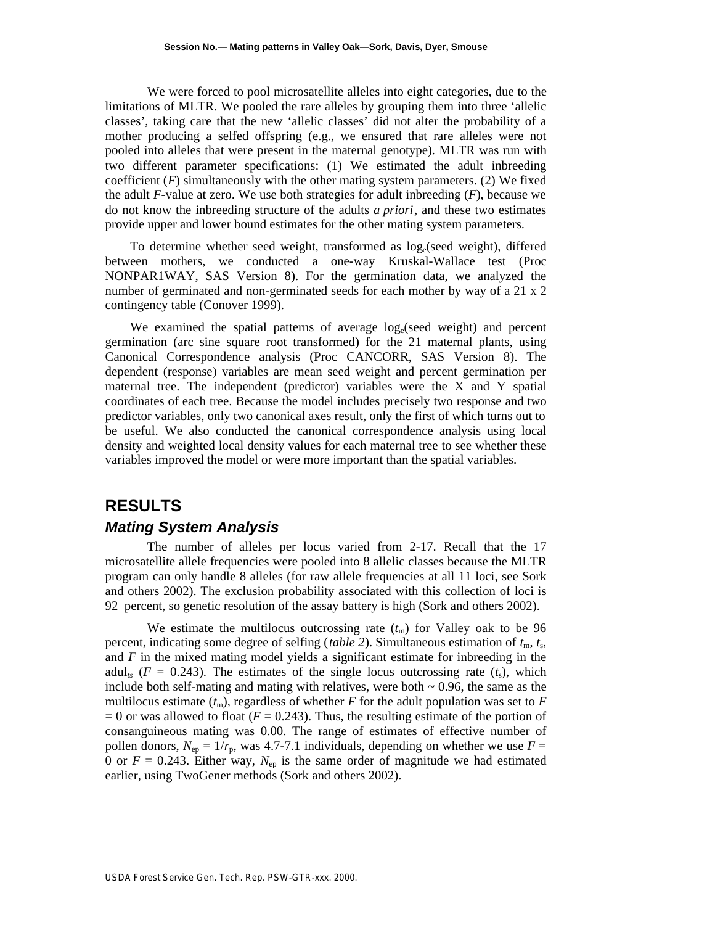We were forced to pool microsatellite alleles into eight categories, due to the limitations of MLTR. We pooled the rare alleles by grouping them into three 'allelic classes', taking care that the new 'allelic classes' did not alter the probability of a mother producing a selfed offspring (e.g., we ensured that rare alleles were not pooled into alleles that were present in the maternal genotype). MLTR was run with two different parameter specifications: (1) We estimated the adult inbreeding coefficient  $(F)$  simultaneously with the other mating system parameters. (2) We fixed the adult *F*-value at zero. We use both strategies for adult inbreeding (*F*), because we do not know the inbreeding structure of the adults *a priori*, and these two estimates provide upper and lower bound estimates for the other mating system parameters.

To determine whether seed weight, transformed as  $log_e$  (seed weight), differed between mothers, we conducted a one-way Kruskal-Wallace test (Proc NONPAR1WAY, SAS Version 8). For the germination data, we analyzed the number of germinated and non-germinated seeds for each mother by way of a 21 x 2 contingency table (Conover 1999).

We examined the spatial patterns of average log<sub>e</sub>(seed weight) and percent germination (arc sine square root transformed) for the 21 maternal plants, using Canonical Correspondence analysis (Proc CANCORR, SAS Version 8). The dependent (response) variables are mean seed weight and percent germination per maternal tree. The independent (predictor) variables were the X and Y spatial coordinates of each tree. Because the model includes precisely two response and two predictor variables, only two canonical axes result, only the first of which turns out to be useful. We also conducted the canonical correspondence analysis using local density and weighted local density values for each maternal tree to see whether these variables improved the model or were more important than the spatial variables.

# **RESULTS** *Mating System Analysis*

The number of alleles per locus varied from 2-17. Recall that the 17 microsatellite allele frequencies were pooled into 8 allelic classes because the MLTR program can only handle 8 alleles (for raw allele frequencies at all 11 loci, see Sork and others 2002). The exclusion probability associated with this collection of loci is 92 percent, so genetic resolution of the assay battery is high (Sork and others 2002).

We estimate the multilocus outcrossing rate  $(t<sub>m</sub>)$  for Valley oak to be 96 percent, indicating some degree of selfing (*table 2*). Simultaneous estimation of  $t<sub>m</sub>$ ,  $t<sub>s</sub>$ , and *F* in the mixed mating model yields a significant estimate for inbreeding in the adul<sub>ts</sub> ( $F = 0.243$ ). The estimates of the single locus outcrossing rate ( $t_s$ ), which include both self-mating and mating with relatives, were both  $\sim 0.96$ , the same as the multilocus estimate  $(t_m)$ , regardless of whether *F* for the adult population was set to *F*  $= 0$  or was allowed to float ( $F = 0.243$ ). Thus, the resulting estimate of the portion of consanguineous mating was 0.00. The range of estimates of effective number of pollen donors,  $N_{\text{en}} = 1/r_{\text{n}}$ , was 4.7-7.1 individuals, depending on whether we use  $F =$ 0 or  $F = 0.243$ . Either way,  $N_{ep}$  is the same order of magnitude we had estimated earlier, using TwoGener methods (Sork and others 2002).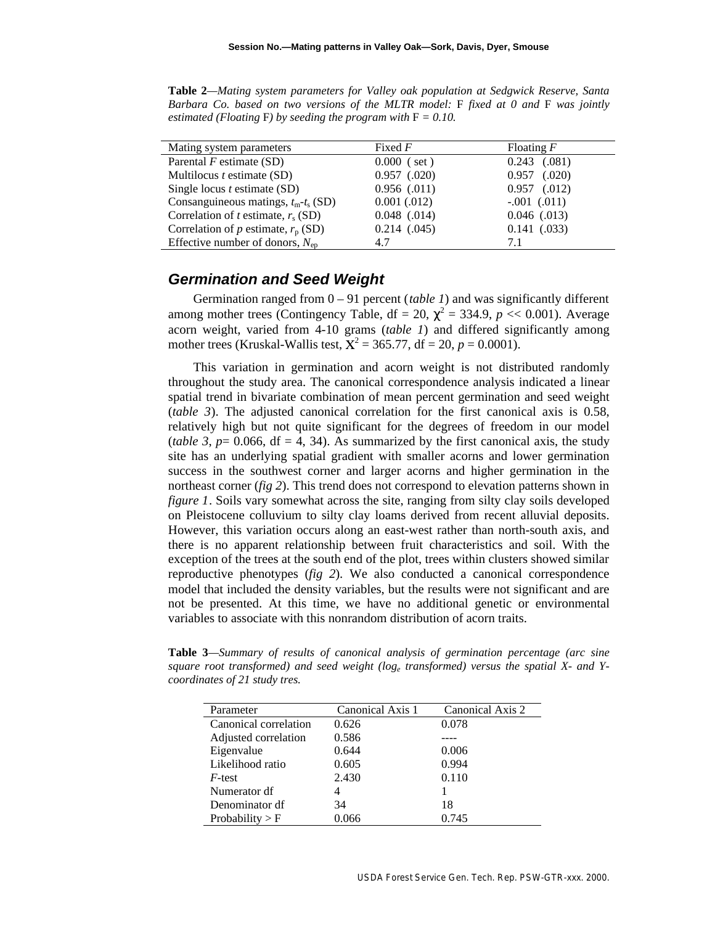**Table 2***—Mating system parameters for Valley oak population at Sedgwick Reserve, Santa Barbara Co. based on two versions of the MLTR model:* F *fixed at 0 and* F *was jointly estimated (Floating F) by seeding the program with*  $F = 0.10$ *.* 

| Mating system parameters                    | Fixed $F$        | Floating $F$     |  |
|---------------------------------------------|------------------|------------------|--|
| Parental $F$ estimate (SD)                  | $0.000$ (set)    | $0.243$ $(.081)$ |  |
| Multilocus $t$ estimate (SD)                | $0.957$ $(.020)$ | $0.957$ $(.020)$ |  |
| Single locus $t$ estimate (SD)              | $0.956$ $(.011)$ | $0.957$ $(.012)$ |  |
| Consanguineous matings, $t_m$ - $t_s$ (SD)  | 0.001(.012)      | $-.001$ $(.011)$ |  |
| Correlation of t estimate, $r_s(SD)$        | $0.048$ $(.014)$ | $0.046$ (.013)   |  |
| Correlation of p estimate, $r_p(SD)$        | $0.214$ $(.045)$ | $0.141$ $(.033)$ |  |
| Effective number of donors, $N_{\text{en}}$ | 4.7              | 7.1              |  |

#### *Germination and Seed Weight*

Germination ranged from 0 – 91 percent (*table 1*) and was significantly different among mother trees (Contingency Table,  $df = 20$ ,  $\alpha^2 = 334.9$ ,  $p \ll 0.001$ ). Average acorn weight, varied from 4-10 grams (*table 1*) and differed significantly among mother trees (Kruskal-Wallis test,  $X^2 = 365.77$ , df = 20, p = 0.0001).

This variation in germination and acorn weight is not distributed randomly throughout the study area. The canonical correspondence analysis indicated a linear spatial trend in bivariate combination of mean percent germination and seed weight (*table 3*). The adjusted canonical correlation for the first canonical axis is 0.58, relatively high but not quite significant for the degrees of freedom in our model (*table* 3,  $p = 0.066$ ,  $df = 4$ , 34). As summarized by the first canonical axis, the study site has an underlying spatial gradient with smaller acorns and lower germination success in the southwest corner and larger acorns and higher germination in the northeast corner (*fig 2*). This trend does not correspond to elevation patterns shown in *figure 1*. Soils vary somewhat across the site, ranging from silty clay soils developed on Pleistocene colluvium to silty clay loams derived from recent alluvial deposits. However, this variation occurs along an east-west rather than north-south axis, and there is no apparent relationship between fruit characteristics and soil. With the exception of the trees at the south end of the plot, trees within clusters showed similar reproductive phenotypes (*fig 2*). We also conducted a canonical correspondence model that included the density variables, but the results were not significant and are not be presented. At this time, we have no additional genetic or environmental variables to associate with this nonrandom distribution of acorn traits.

**Table 3***—Summary of results of canonical analysis of germination percentage (arc sine* square root transformed) and seed weight (log<sub>e</sub> transformed) versus the spatial X- and Y*coordinates of 21 study tres.*

| Parameter             | Canonical Axis 1 | Canonical Axis 2 |  |  |
|-----------------------|------------------|------------------|--|--|
| Canonical correlation | 0.626            | 0.078            |  |  |
| Adjusted correlation  | 0.586            |                  |  |  |
| Eigenvalue            | 0.644            | 0.006            |  |  |
| Likelihood ratio      | 0.605            | 0.994            |  |  |
| $F$ -test             | 2.430            | 0.110            |  |  |
| Numerator df          |                  |                  |  |  |
| Denominator df        | 34               | 18               |  |  |
| Probability $>$ F     | 0.066            | 0.745            |  |  |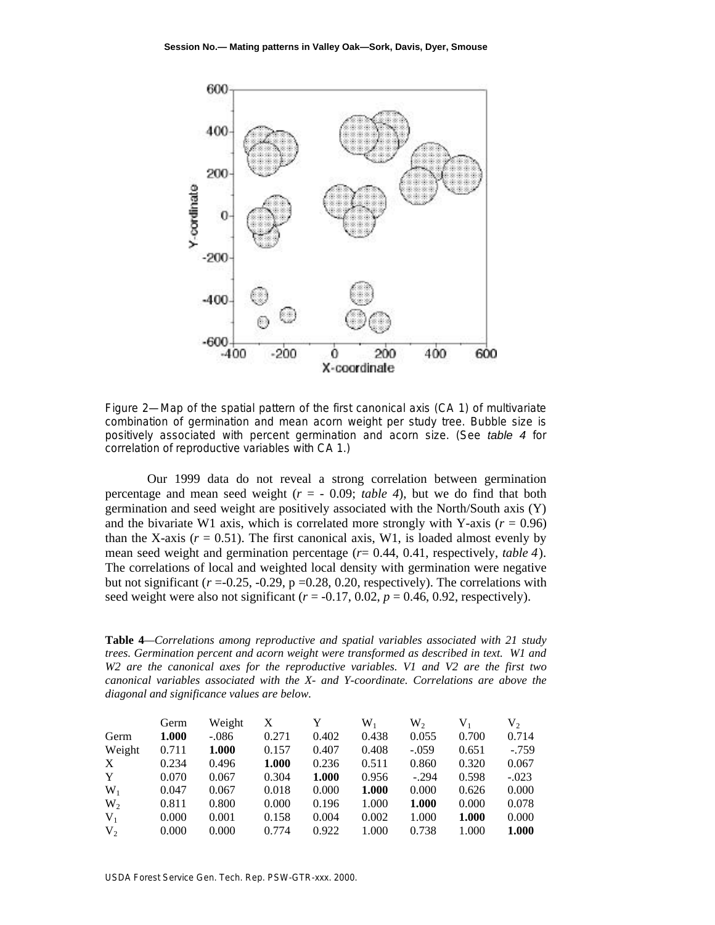

Figure 2—Map of the spatial pattern of the first canonical axis (CA 1) of multivariate combination of germination and mean acorn weight per study tree. Bubble size is positively associated with percent germination and acorn size. (See *table 4* for correlation of reproductive variables with CA 1.)

Our 1999 data do not reveal a strong correlation between germination percentage and mean seed weight  $(r = -0.09;$  *table 4*), but we do find that both germination and seed weight are positively associated with the North/South axis (Y) and the bivariate W1 axis, which is correlated more strongly with Y-axis  $(r = 0.96)$ than the X-axis  $(r = 0.51)$ . The first canonical axis, W1, is loaded almost evenly by mean seed weight and germination percentage (*r*= 0.44, 0.41, respectively, *table 4*). The correlations of local and weighted local density with germination were negative but not significant  $(r = 0.25, -0.29, p = 0.28, 0.20,$  respectively). The correlations with seed weight were also not significant  $(r = -0.17, 0.02, p = 0.46, 0.92,$  respectively).

**Table 4***—Correlations among reproductive and spatial variables associated with 21 study trees. Germination percent and acorn weight were transformed as described in text. W1 and W2 are the canonical axes for the reproductive variables. V1 and V2 are the first two canonical variables associated with the X- and Y-coordinate. Correlations are above the diagonal and significance values are below.*

|        | Germ  | Weight  | X     | Y     | $W_1$ | $W_2$   | $V_1$ | $V_2$   |
|--------|-------|---------|-------|-------|-------|---------|-------|---------|
| Germ   | 1.000 | $-.086$ | 0.271 | 0.402 | 0.438 | 0.055   | 0.700 | 0.714   |
| Weight | 0.711 | 1.000   | 0.157 | 0.407 | 0.408 | $-.059$ | 0.651 | $-.759$ |
| X      | 0.234 | 0.496   | 1.000 | 0.236 | 0.511 | 0.860   | 0.320 | 0.067   |
| Y      | 0.070 | 0.067   | 0.304 | 1.000 | 0.956 | $-.294$ | 0.598 | $-.023$ |
| $W_1$  | 0.047 | 0.067   | 0.018 | 0.000 | 1.000 | 0.000   | 0.626 | 0.000   |
| $W_2$  | 0.811 | 0.800   | 0.000 | 0.196 | 1.000 | 1.000   | 0.000 | 0.078   |
| $V_1$  | 0.000 | 0.001   | 0.158 | 0.004 | 0.002 | 1.000   | 1.000 | 0.000   |
| $V_2$  | 0.000 | 0.000   | 0.774 | 0.922 | 1.000 | 0.738   | 1.000 | 1.000   |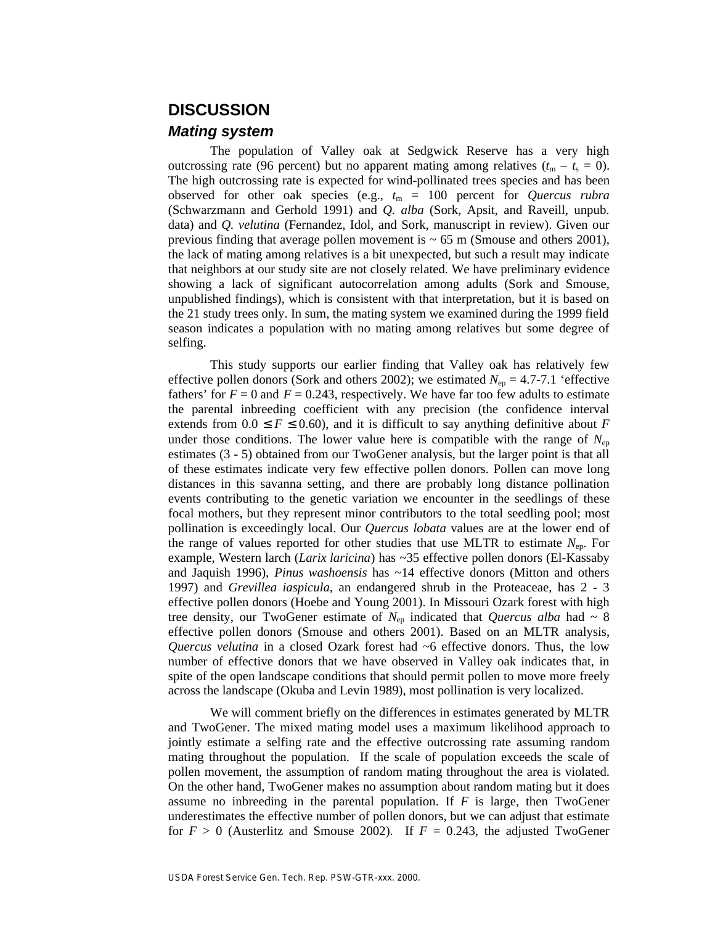# **DISCUSSION**

#### *Mating system*

The population of Valley oak at Sedgwick Reserve has a very high outcrossing rate (96 percent) but no apparent mating among relatives  $(t_m - t_s = 0)$ . The high outcrossing rate is expected for wind-pollinated trees species and has been observed for other oak species (e.g., *t*m = 100 percent for *Quercus rubra* (Schwarzmann and Gerhold 1991) and *Q. alba* (Sork, Apsit, and Raveill, unpub. data) and *Q. velutina* (Fernandez, Idol, and Sork, manuscript in review). Given our previous finding that average pollen movement is  $\sim 65$  m (Smouse and others 2001), the lack of mating among relatives is a bit unexpected, but such a result may indicate that neighbors at our study site are not closely related. We have preliminary evidence showing a lack of significant autocorrelation among adults (Sork and Smouse, unpublished findings), which is consistent with that interpretation, but it is based on the 21 study trees only. In sum, the mating system we examined during the 1999 field season indicates a population with no mating among relatives but some degree of selfing.

This study supports our earlier finding that Valley oak has relatively few effective pollen donors (Sork and others 2002); we estimated  $N_{\rm ep} = 4.7$ -7.1 'effective fathers' for  $F = 0$  and  $F = 0.243$ , respectively. We have far too few adults to estimate the parental inbreeding coefficient with any precision (the confidence interval extends from 0.0 *F* 0.60), and it is difficult to say anything definitive about *F* under those conditions. The lower value here is compatible with the range of  $N_{ep}$ estimates (3 - 5) obtained from our TwoGener analysis, but the larger point is that all of these estimates indicate very few effective pollen donors. Pollen can move long distances in this savanna setting, and there are probably long distance pollination events contributing to the genetic variation we encounter in the seedlings of these focal mothers, but they represent minor contributors to the total seedling pool; most pollination is exceedingly local. Our *Quercus lobata* values are at the lower end of the range of values reported for other studies that use MLTR to estimate *N*ep. For example, Western larch (*Larix laricina*) has ~35 effective pollen donors (El-Kassaby and Jaquish 1996), *Pinus washoensis* has ~14 effective donors (Mitton and others 1997) and *Grevillea iaspicula*, an endangered shrub in the Proteaceae, has 2 - 3 effective pollen donors (Hoebe and Young 2001). In Missouri Ozark forest with high tree density, our TwoGener estimate of  $N_{ep}$  indicated that *Quercus alba* had  $\sim 8$ effective pollen donors (Smouse and others 2001). Based on an MLTR analysis, *Quercus velutina* in a closed Ozark forest had ~6 effective donors. Thus, the low number of effective donors that we have observed in Valley oak indicates that, in spite of the open landscape conditions that should permit pollen to move more freely across the landscape (Okuba and Levin 1989), most pollination is very localized.

We will comment briefly on the differences in estimates generated by MLTR and TwoGener. The mixed mating model uses a maximum likelihood approach to jointly estimate a selfing rate and the effective outcrossing rate assuming random mating throughout the population. If the scale of population exceeds the scale of pollen movement, the assumption of random mating throughout the area is violated. On the other hand, TwoGener makes no assumption about random mating but it does assume no inbreeding in the parental population. If *F* is large, then TwoGener underestimates the effective number of pollen donors, but we can adjust that estimate for  $F > 0$  (Austerlitz and Smouse 2002). If  $F = 0.243$ , the adjusted TwoGener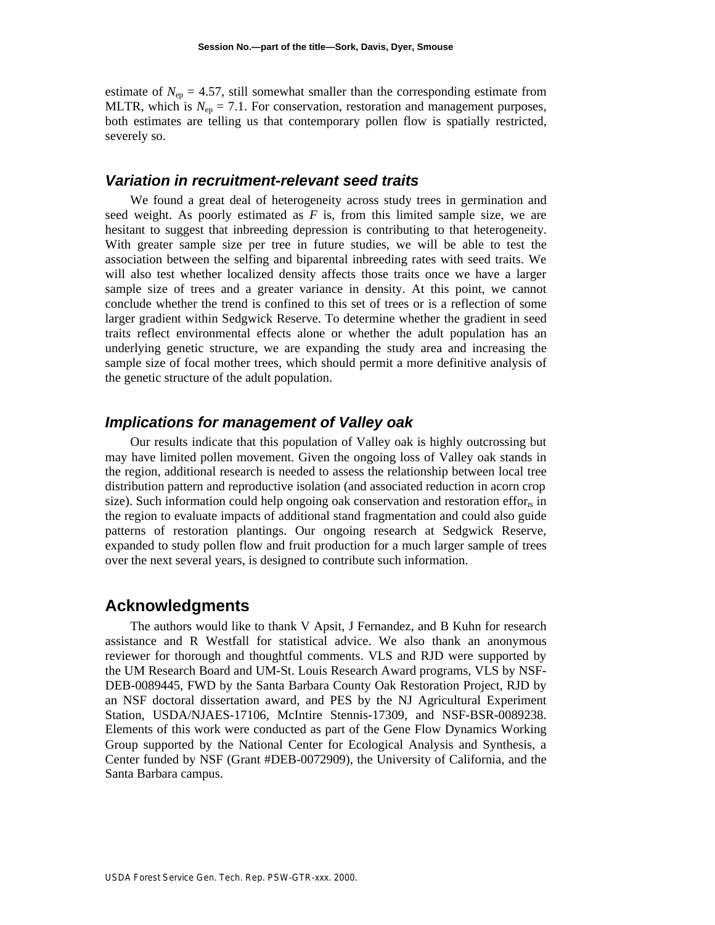estimate of  $N_{ep} = 4.57$ , still somewhat smaller than the corresponding estimate from MLTR, which is  $N_{\text{en}} = 7.1$ . For conservation, restoration and management purposes, both estimates are telling us that contemporary pollen flow is spatially restricted, severely so.

## *Variation in recruitment-relevant seed traits*

We found a great deal of heterogeneity across study trees in germination and seed weight. As poorly estimated as *F* is, from this limited sample size, we are hesitant to suggest that inbreeding depression is contributing to that heterogeneity. With greater sample size per tree in future studies, we will be able to test the association between the selfing and biparental inbreeding rates with seed traits. We will also test whether localized density affects those traits once we have a larger sample size of trees and a greater variance in density. At this point, we cannot conclude whether the trend is confined to this set of trees or is a reflection of some larger gradient within Sedgwick Reserve. To determine whether the gradient in seed trait*s* reflect environmental effects alone or whether the adult population has an underlying genetic structure, we are expanding the study area and increasing the sample size of focal mother trees, which should permit a more definitive analysis of the genetic structure of the adult population.

# *Implications for management of Valley oak*

Our results indicate that this population of Valley oak is highly outcrossing but may have limited pollen movement. Given the ongoing loss of Valley oak stands in the region, additional research is needed to assess the relationship between local tree distribution pattern and reproductive isolation (and associated reduction in acorn crop size). Such information could help ongoing oak conservation and restoration effor<sub> $t_s$ </sub> in the region to evaluate impacts of additional stand fragmentation and could also guide patterns of restoration plantings. Our ongoing research at Sedgwick Reserve, expanded to study pollen flow and fruit production for a much larger sample of trees over the next several years, is designed to contribute such information.

## **Acknowledgments**

The authors would like to thank V Apsit, J Fernandez, and B Kuhn for research assistance and R Westfall for statistical advice. We also thank an anonymous reviewer for thorough and thoughtful comments. VLS and RJD were supported by the UM Research Board and UM-St. Louis Research Award programs, VLS by NSF-DEB-0089445, FWD by the Santa Barbara County Oak Restoration Project, RJD by an NSF doctoral dissertation award, and PES by the NJ Agricultural Experiment Station, USDA/NJAES-17106, McIntire Stennis-17309, and NSF-BSR-0089238. Elements of this work were conducted as part of the Gene Flow Dynamics Working Group supported by the National Center for Ecological Analysis and Synthesis, a Center funded by NSF (Grant #DEB-0072909), the University of California, and the Santa Barbara campus.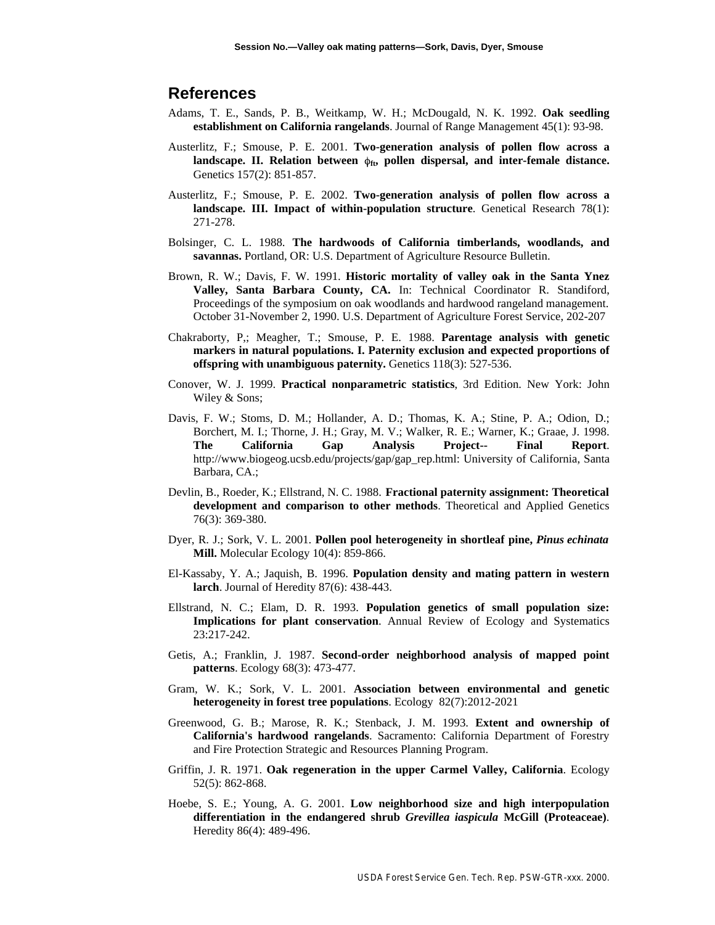## **References**

- Adams, T. E., Sands, P. B., Weitkamp, W. H.; McDougald, N. K. 1992. **Oak seedling establishment on California rangelands**. Journal of Range Management 45(1): 93-98.
- Austerlitz, F.; Smouse, P. E. 2001. **Two-generation analysis of pollen flow across a** landscape. II. Relation between  $\phi_{ft}$ , pollen dispersal, and inter-female distance. Genetics 157(2): 851-857.
- Austerlitz, F.; Smouse, P. E. 2002. **Two-generation analysis of pollen flow across a landscape. III. Impact of within-population structure**. Genetical Research 78(1): 271-278.
- Bolsinger, C. L. 1988. **The hardwoods of California timberlands, woodlands, and savannas.** Portland, OR: U.S. Department of Agriculture Resource Bulletin.
- Brown, R. W.; Davis, F. W. 1991. **Historic mortality of valley oak in the Santa Ynez Valley, Santa Barbara County, CA.** In: Technical Coordinator R. Standiford, Proceedings of the symposium on oak woodlands and hardwood rangeland management. October 31-November 2, 1990. U.S. Department of Agriculture Forest Service, 202-207
- Chakraborty, P,; Meagher, T.; Smouse, P. E. 1988. **Parentage analysis with genetic markers in natural populations. I. Paternity exclusion and expected proportions of offspring with unambiguous paternity.** Genetics 118(3): 527-536.
- Conover, W. J. 1999. **Practical nonparametric statistics**, 3rd Edition. New York: John Wiley & Sons;
- Davis, F. W.; Stoms, D. M.; Hollander, A. D.; Thomas, K. A.; Stine, P. A.; Odion, D.; Borchert, M. I.; Thorne, J. H.; Gray, M. V.; Walker, R. E.; Warner, K.; Graae, J. 1998. **The California Gap Analysis Project-- Final Report**. http://www.biogeog.ucsb.edu/projects/gap/gap\_rep.html: University of California, Santa Barbara, CA.;
- Devlin, B., Roeder, K.; Ellstrand, N. C. 1988. **Fractional paternity assignment: Theoretical development and comparison to other methods**. Theoretical and Applied Genetics 76(3): 369-380.
- Dyer, R. J.; Sork, V. L. 2001. **Pollen pool heterogeneity in shortleaf pine,** *Pinus echinata* **Mill.** Molecular Ecology 10(4): 859-866.
- El-Kassaby, Y. A.; Jaquish, B. 1996. **Population density and mating pattern in western larch**. Journal of Heredity 87(6): 438-443.
- Ellstrand, N. C.; Elam, D. R. 1993. **Population genetics of small population size: Implications for plant conservation**. Annual Review of Ecology and Systematics 23:217-242.
- Getis, A.; Franklin, J. 1987. **Second-order neighborhood analysis of mapped point patterns**. Ecology 68(3): 473-477.
- Gram, W. K.; Sork, V. L. 2001. **Association between environmental and genetic heterogeneity in forest tree populations**. Ecology 82(7):2012-2021
- Greenwood, G. B.; Marose, R. K.; Stenback, J. M. 1993. **Extent and ownership of California's hardwood rangelands**. Sacramento: California Department of Forestry and Fire Protection Strategic and Resources Planning Program.
- Griffin, J. R. 1971. **Oak regeneration in the upper Carmel Valley, California**. Ecology 52(5): 862-868.
- Hoebe, S. E.; Young, A. G. 2001. **Low neighborhood size and high interpopulation differentiation in the endangered shrub** *Grevillea iaspicula* **McGill (Proteaceae)**. Heredity 86(4): 489-496.